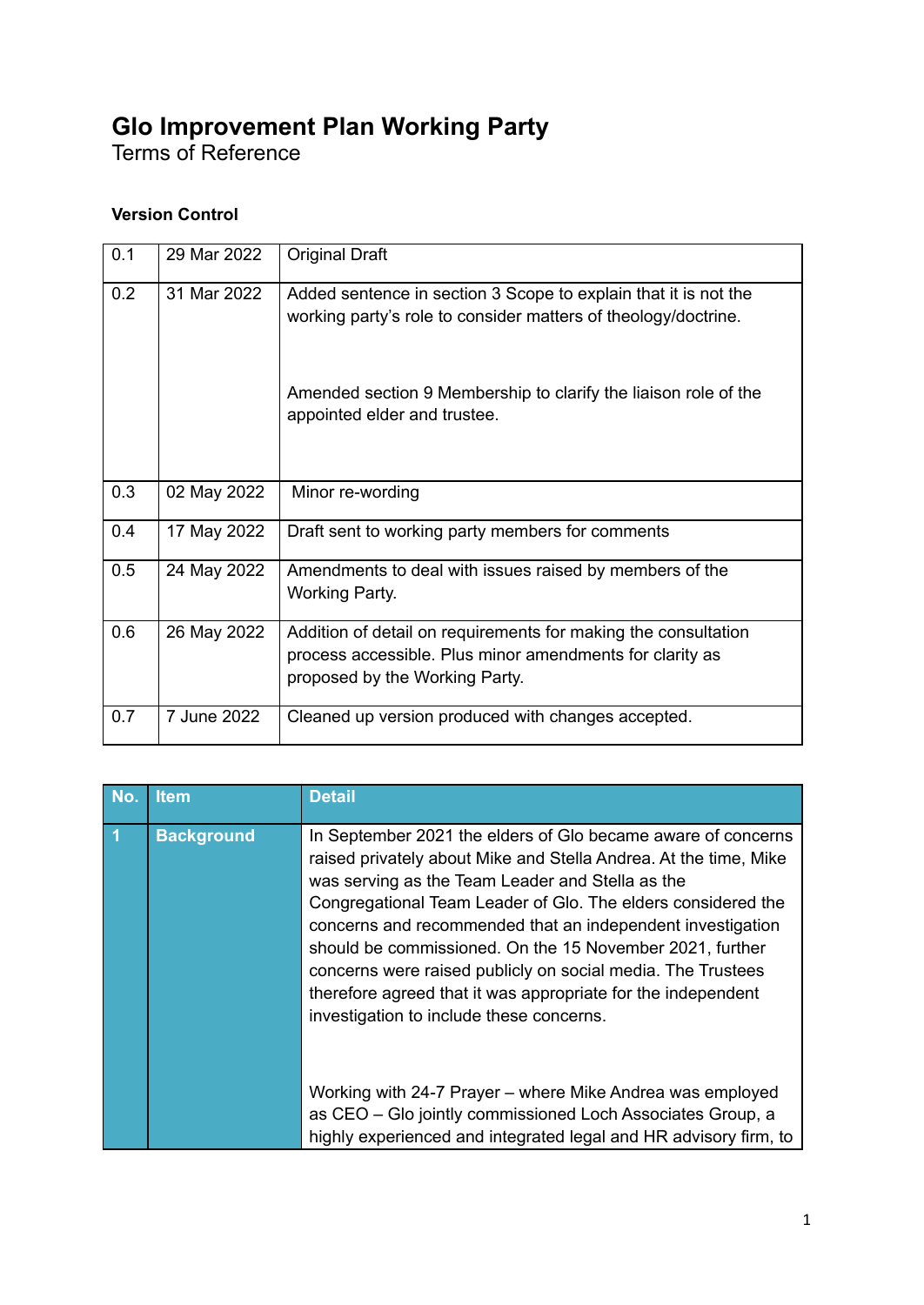## **Glo Improvement Plan Working Party**

Terms of Reference

## **Version Control**

| 0.1 | 29 Mar 2022 | <b>Original Draft</b>                                                                                                                                        |
|-----|-------------|--------------------------------------------------------------------------------------------------------------------------------------------------------------|
| 0.2 | 31 Mar 2022 | Added sentence in section 3 Scope to explain that it is not the<br>working party's role to consider matters of theology/doctrine.                            |
|     |             | Amended section 9 Membership to clarify the liaison role of the<br>appointed elder and trustee.                                                              |
| 0.3 | 02 May 2022 | Minor re-wording                                                                                                                                             |
| 0.4 | 17 May 2022 | Draft sent to working party members for comments                                                                                                             |
| 0.5 | 24 May 2022 | Amendments to deal with issues raised by members of the<br><b>Working Party.</b>                                                                             |
| 0.6 | 26 May 2022 | Addition of detail on requirements for making the consultation<br>process accessible. Plus minor amendments for clarity as<br>proposed by the Working Party. |
| 0.7 | 7 June 2022 | Cleaned up version produced with changes accepted.                                                                                                           |

| No.            | <b>Item</b>       | <b>Detail</b>                                                                                                                                                                                                                                                                                                                                                                                                                                                                                                                                             |
|----------------|-------------------|-----------------------------------------------------------------------------------------------------------------------------------------------------------------------------------------------------------------------------------------------------------------------------------------------------------------------------------------------------------------------------------------------------------------------------------------------------------------------------------------------------------------------------------------------------------|
| $\overline{1}$ | <b>Background</b> | In September 2021 the elders of Glo became aware of concerns<br>raised privately about Mike and Stella Andrea. At the time, Mike<br>was serving as the Team Leader and Stella as the<br>Congregational Team Leader of Glo. The elders considered the<br>concerns and recommended that an independent investigation<br>should be commissioned. On the 15 November 2021, further<br>concerns were raised publicly on social media. The Trustees<br>therefore agreed that it was appropriate for the independent<br>investigation to include these concerns. |
|                |                   | Working with 24-7 Prayer - where Mike Andrea was employed<br>as CEO - Glo jointly commissioned Loch Associates Group, a<br>highly experienced and integrated legal and HR advisory firm, to                                                                                                                                                                                                                                                                                                                                                               |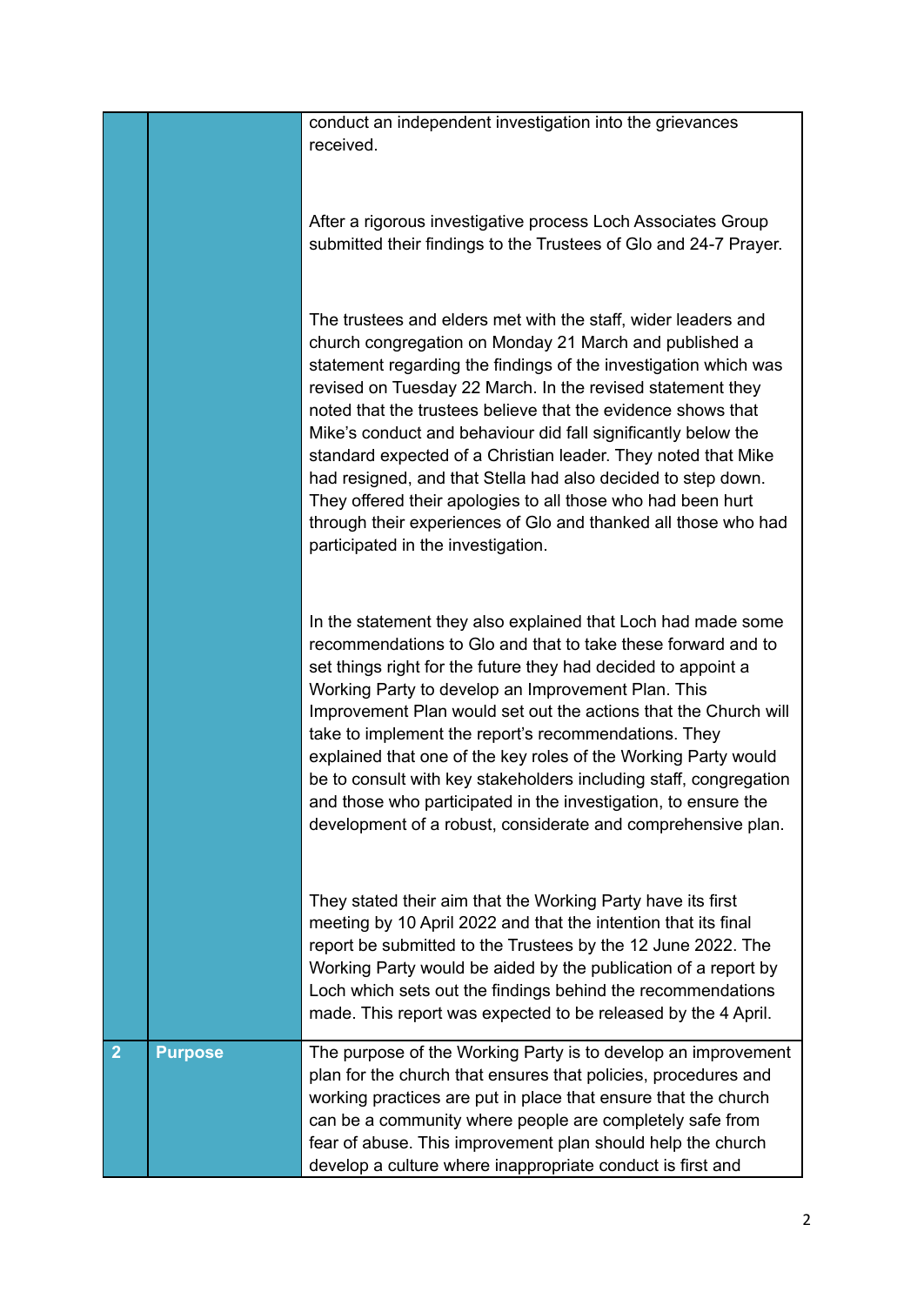| $\overline{2}$ | <b>Purpose</b> | The purpose of the Working Party is to develop an improvement<br>plan for the church that ensures that policies, procedures and<br>working practices are put in place that ensure that the church<br>can be a community where people are completely safe from<br>fear of abuse. This improvement plan should help the church<br>develop a culture where inappropriate conduct is first and                                                                                                                                                                                                                                                                                                        |
|----------------|----------------|---------------------------------------------------------------------------------------------------------------------------------------------------------------------------------------------------------------------------------------------------------------------------------------------------------------------------------------------------------------------------------------------------------------------------------------------------------------------------------------------------------------------------------------------------------------------------------------------------------------------------------------------------------------------------------------------------|
|                |                | They stated their aim that the Working Party have its first<br>meeting by 10 April 2022 and that the intention that its final<br>report be submitted to the Trustees by the 12 June 2022. The<br>Working Party would be aided by the publication of a report by<br>Loch which sets out the findings behind the recommendations<br>made. This report was expected to be released by the 4 April.                                                                                                                                                                                                                                                                                                   |
|                |                | In the statement they also explained that Loch had made some<br>recommendations to Glo and that to take these forward and to<br>set things right for the future they had decided to appoint a<br>Working Party to develop an Improvement Plan. This<br>Improvement Plan would set out the actions that the Church will<br>take to implement the report's recommendations. They<br>explained that one of the key roles of the Working Party would<br>be to consult with key stakeholders including staff, congregation<br>and those who participated in the investigation, to ensure the<br>development of a robust, considerate and comprehensive plan.                                           |
|                |                | The trustees and elders met with the staff, wider leaders and<br>church congregation on Monday 21 March and published a<br>statement regarding the findings of the investigation which was<br>revised on Tuesday 22 March. In the revised statement they<br>noted that the trustees believe that the evidence shows that<br>Mike's conduct and behaviour did fall significantly below the<br>standard expected of a Christian leader. They noted that Mike<br>had resigned, and that Stella had also decided to step down.<br>They offered their apologies to all those who had been hurt<br>through their experiences of Glo and thanked all those who had<br>participated in the investigation. |
|                |                | After a rigorous investigative process Loch Associates Group<br>submitted their findings to the Trustees of Glo and 24-7 Prayer.                                                                                                                                                                                                                                                                                                                                                                                                                                                                                                                                                                  |
|                |                | conduct an independent investigation into the grievances<br>received.                                                                                                                                                                                                                                                                                                                                                                                                                                                                                                                                                                                                                             |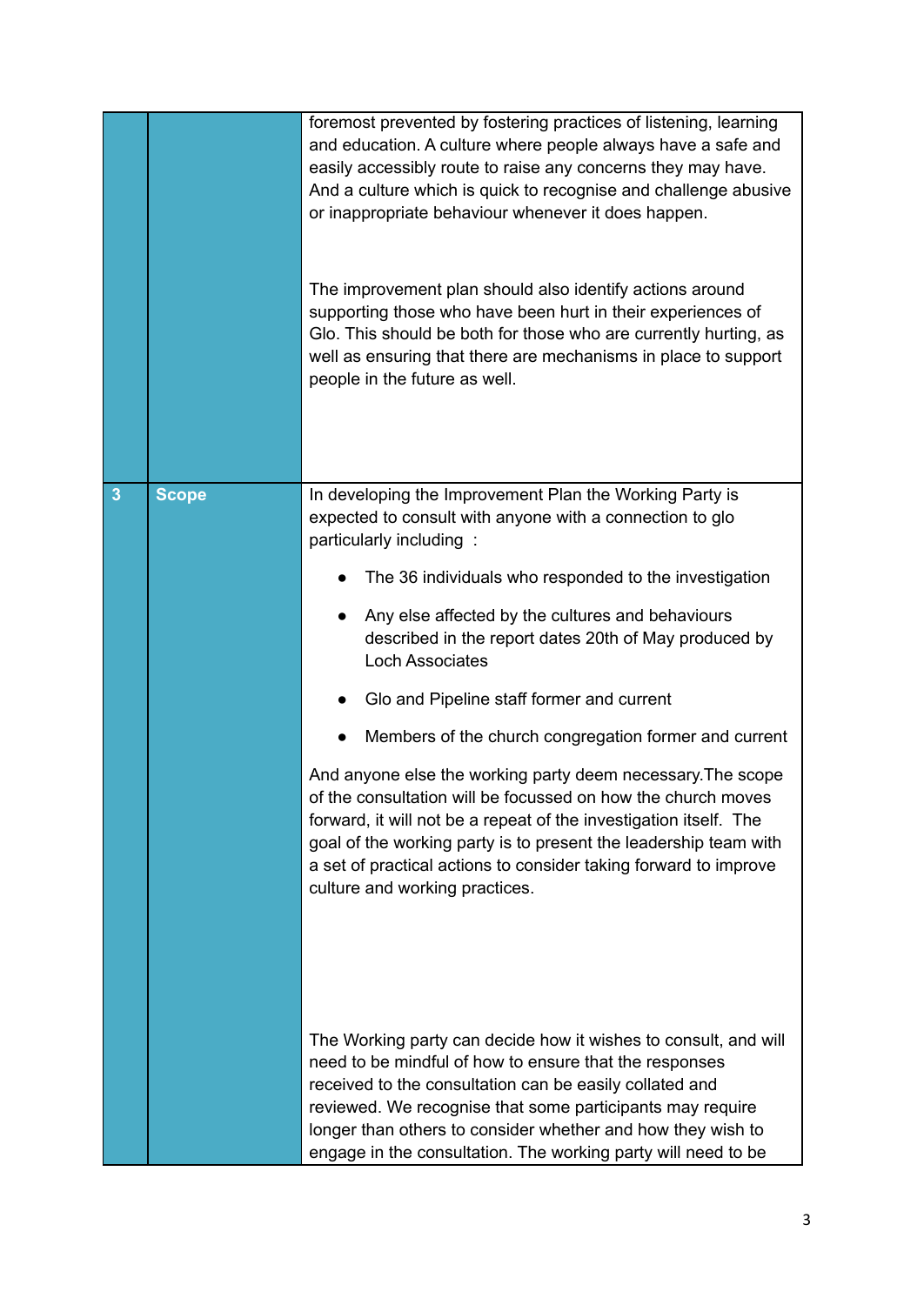|              |              | foremost prevented by fostering practices of listening, learning<br>and education. A culture where people always have a safe and<br>easily accessibly route to raise any concerns they may have.<br>And a culture which is quick to recognise and challenge abusive<br>or inappropriate behaviour whenever it does happen.<br>The improvement plan should also identify actions around<br>supporting those who have been hurt in their experiences of<br>Glo. This should be both for those who are currently hurting, as<br>well as ensuring that there are mechanisms in place to support<br>people in the future as well. |
|--------------|--------------|------------------------------------------------------------------------------------------------------------------------------------------------------------------------------------------------------------------------------------------------------------------------------------------------------------------------------------------------------------------------------------------------------------------------------------------------------------------------------------------------------------------------------------------------------------------------------------------------------------------------------|
| $\mathbf{3}$ | <b>Scope</b> | In developing the Improvement Plan the Working Party is<br>expected to consult with anyone with a connection to glo<br>particularly including :                                                                                                                                                                                                                                                                                                                                                                                                                                                                              |
|              |              | The 36 individuals who responded to the investigation                                                                                                                                                                                                                                                                                                                                                                                                                                                                                                                                                                        |
|              |              | Any else affected by the cultures and behaviours<br>described in the report dates 20th of May produced by<br><b>Loch Associates</b>                                                                                                                                                                                                                                                                                                                                                                                                                                                                                          |
|              |              | Glo and Pipeline staff former and current                                                                                                                                                                                                                                                                                                                                                                                                                                                                                                                                                                                    |
|              |              | Members of the church congregation former and current                                                                                                                                                                                                                                                                                                                                                                                                                                                                                                                                                                        |
|              |              | And anyone else the working party deem necessary. The scope<br>of the consultation will be focussed on how the church moves<br>forward, it will not be a repeat of the investigation itself. The<br>goal of the working party is to present the leadership team with<br>a set of practical actions to consider taking forward to improve<br>culture and working practices.                                                                                                                                                                                                                                                   |
|              |              | The Working party can decide how it wishes to consult, and will<br>need to be mindful of how to ensure that the responses<br>received to the consultation can be easily collated and<br>reviewed. We recognise that some participants may require<br>longer than others to consider whether and how they wish to<br>engage in the consultation. The working party will need to be                                                                                                                                                                                                                                            |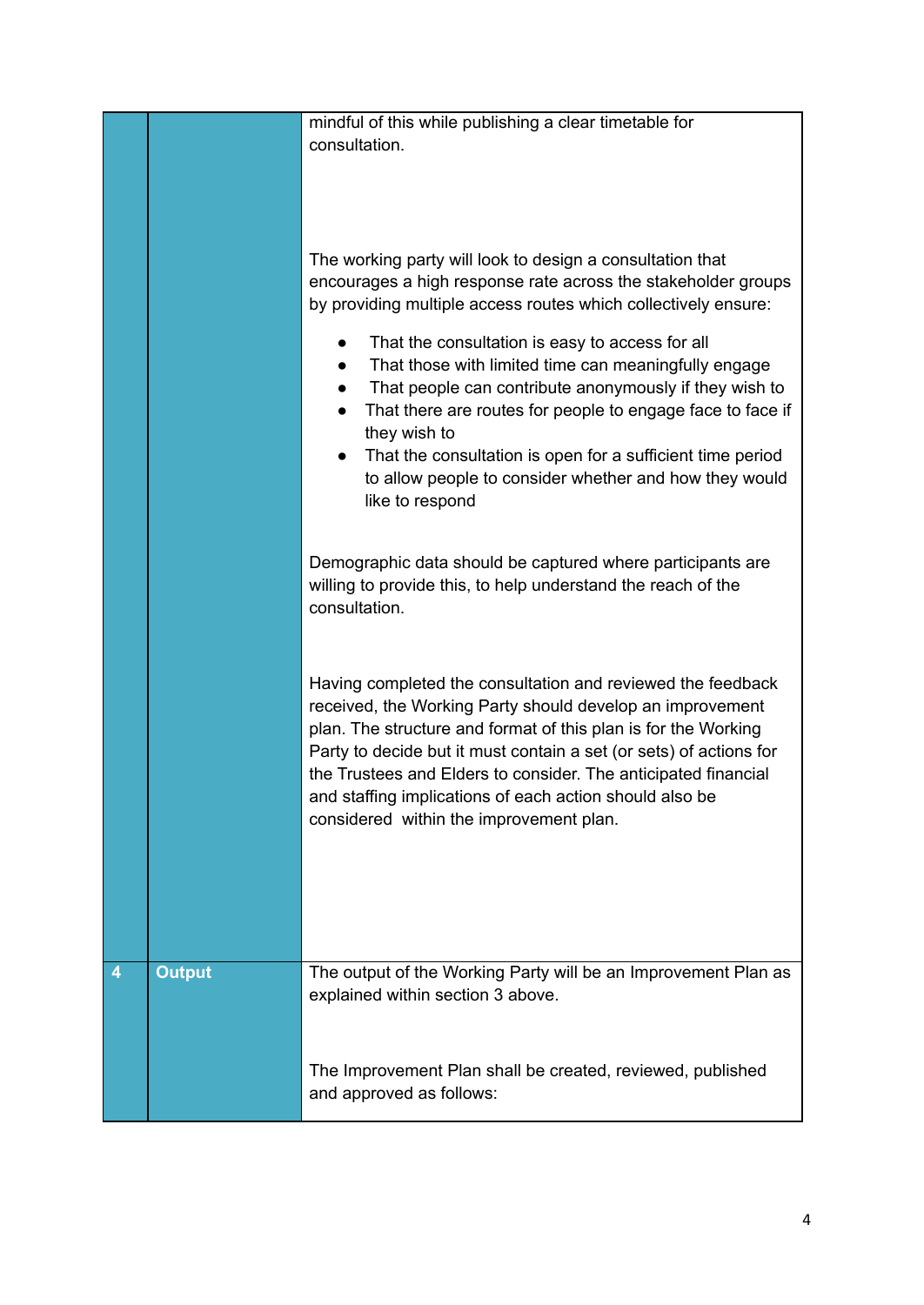|   |               | mindful of this while publishing a clear timetable for                                                                               |
|---|---------------|--------------------------------------------------------------------------------------------------------------------------------------|
|   |               | consultation.                                                                                                                        |
|   |               |                                                                                                                                      |
|   |               |                                                                                                                                      |
|   |               |                                                                                                                                      |
|   |               | The working party will look to design a consultation that                                                                            |
|   |               | encourages a high response rate across the stakeholder groups                                                                        |
|   |               | by providing multiple access routes which collectively ensure:                                                                       |
|   |               |                                                                                                                                      |
|   |               | That the consultation is easy to access for all<br>That those with limited time can meaningfully engage                              |
|   |               | That people can contribute anonymously if they wish to                                                                               |
|   |               | That there are routes for people to engage face to face if<br>$\bullet$                                                              |
|   |               | they wish to                                                                                                                         |
|   |               | That the consultation is open for a sufficient time period<br>$\bullet$                                                              |
|   |               | to allow people to consider whether and how they would                                                                               |
|   |               | like to respond                                                                                                                      |
|   |               |                                                                                                                                      |
|   |               | Demographic data should be captured where participants are                                                                           |
|   |               | willing to provide this, to help understand the reach of the                                                                         |
|   |               | consultation.                                                                                                                        |
|   |               |                                                                                                                                      |
|   |               |                                                                                                                                      |
|   |               | Having completed the consultation and reviewed the feedback                                                                          |
|   |               | received, the Working Party should develop an improvement                                                                            |
|   |               | plan. The structure and format of this plan is for the Working<br>Party to decide but it must contain a set (or sets) of actions for |
|   |               | the Trustees and Elders to consider. The anticipated financial                                                                       |
|   |               | and staffing implications of each action should also be                                                                              |
|   |               | considered within the improvement plan.                                                                                              |
|   |               |                                                                                                                                      |
|   |               |                                                                                                                                      |
|   |               |                                                                                                                                      |
|   |               |                                                                                                                                      |
|   |               |                                                                                                                                      |
| 4 | <b>Output</b> | The output of the Working Party will be an Improvement Plan as                                                                       |
|   |               | explained within section 3 above.                                                                                                    |
|   |               |                                                                                                                                      |
|   |               |                                                                                                                                      |
|   |               | The Improvement Plan shall be created, reviewed, published                                                                           |
|   |               | and approved as follows:                                                                                                             |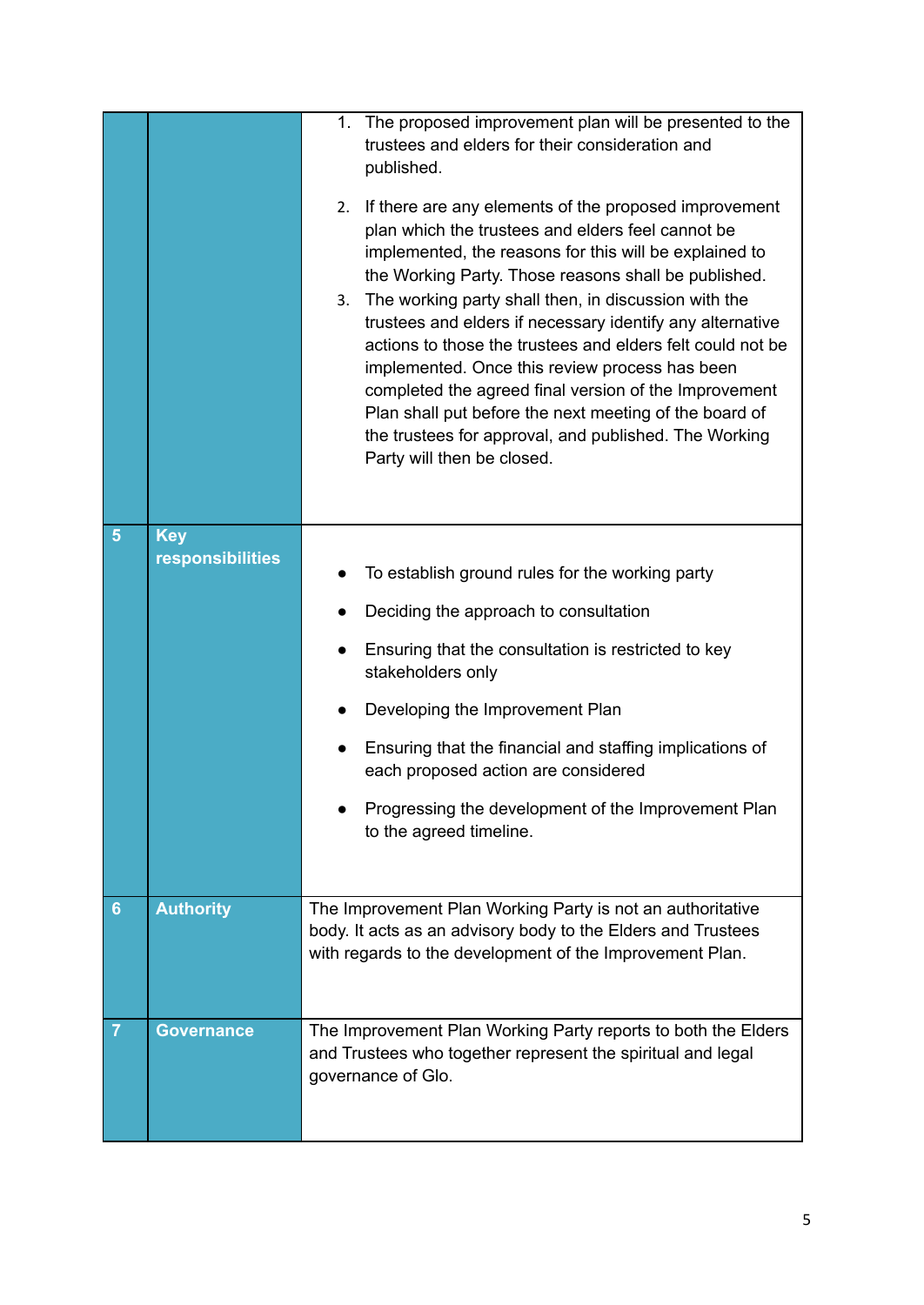|                |                                | 1. The proposed improvement plan will be presented to the<br>trustees and elders for their consideration and<br>published.<br>If there are any elements of the proposed improvement<br>2.<br>plan which the trustees and elders feel cannot be<br>implemented, the reasons for this will be explained to<br>the Working Party. Those reasons shall be published.<br>The working party shall then, in discussion with the<br>3.<br>trustees and elders if necessary identify any alternative<br>actions to those the trustees and elders felt could not be<br>implemented. Once this review process has been<br>completed the agreed final version of the Improvement<br>Plan shall put before the next meeting of the board of<br>the trustees for approval, and published. The Working<br>Party will then be closed. |
|----------------|--------------------------------|-----------------------------------------------------------------------------------------------------------------------------------------------------------------------------------------------------------------------------------------------------------------------------------------------------------------------------------------------------------------------------------------------------------------------------------------------------------------------------------------------------------------------------------------------------------------------------------------------------------------------------------------------------------------------------------------------------------------------------------------------------------------------------------------------------------------------|
| 5              | <b>Key</b><br>responsibilities | To establish ground rules for the working party<br>Deciding the approach to consultation<br>Ensuring that the consultation is restricted to key<br>stakeholders only<br>Developing the Improvement Plan<br>Ensuring that the financial and staffing implications of<br>each proposed action are considered<br>Progressing the development of the Improvement Plan<br>to the agreed timeline.                                                                                                                                                                                                                                                                                                                                                                                                                          |
| 6              | <b>Authority</b>               | The Improvement Plan Working Party is not an authoritative<br>body. It acts as an advisory body to the Elders and Trustees<br>with regards to the development of the Improvement Plan.                                                                                                                                                                                                                                                                                                                                                                                                                                                                                                                                                                                                                                |
| $\overline{7}$ | <b>Governance</b>              | The Improvement Plan Working Party reports to both the Elders<br>and Trustees who together represent the spiritual and legal<br>governance of Glo.                                                                                                                                                                                                                                                                                                                                                                                                                                                                                                                                                                                                                                                                    |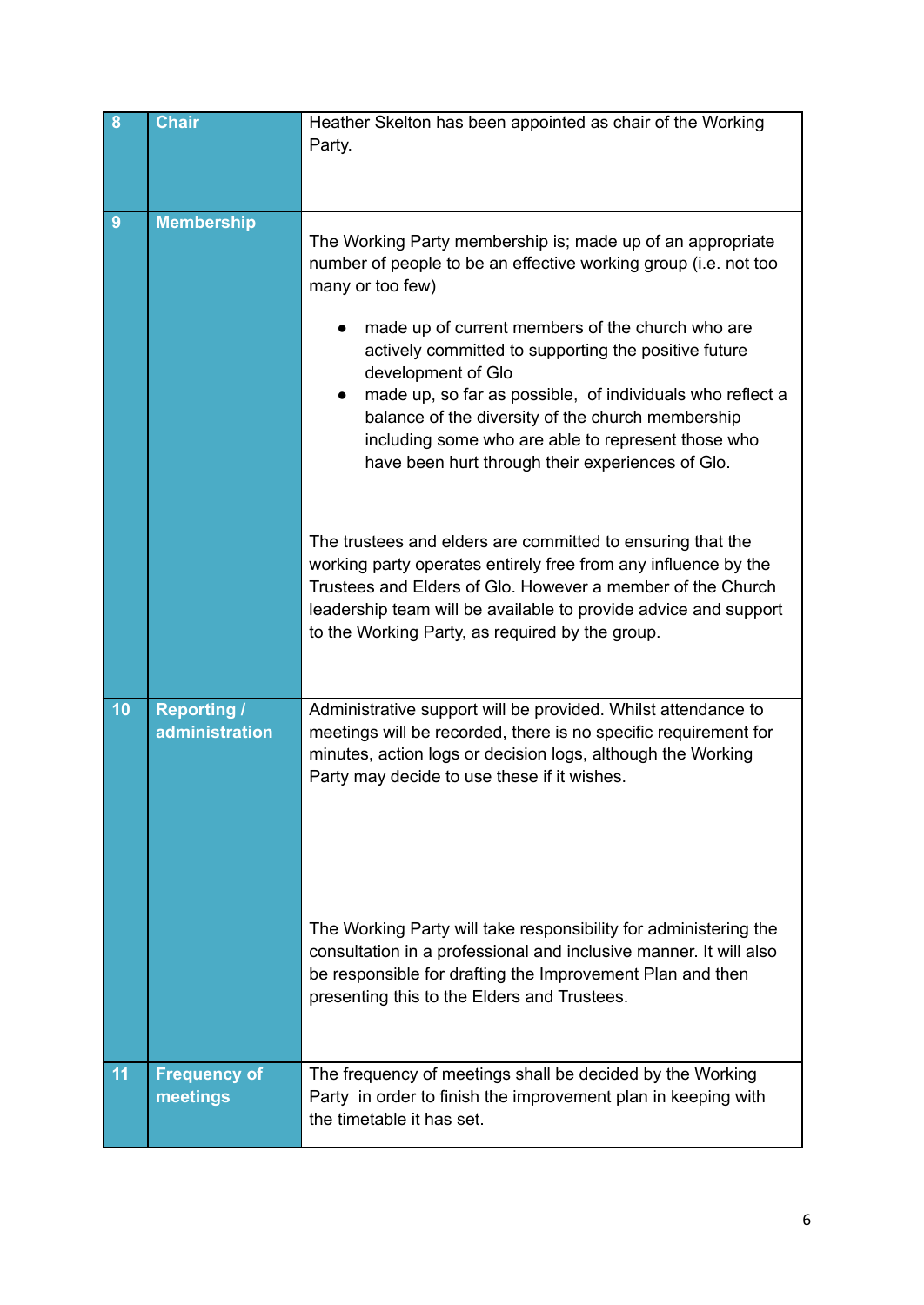| 8  | <b>Chair</b>                                | Heather Skelton has been appointed as chair of the Working<br>Party.                                                                                                                                                                                                                                                                                                                                                                                                                                                                                                                                                                                                                                                                                                                                                                             |
|----|---------------------------------------------|--------------------------------------------------------------------------------------------------------------------------------------------------------------------------------------------------------------------------------------------------------------------------------------------------------------------------------------------------------------------------------------------------------------------------------------------------------------------------------------------------------------------------------------------------------------------------------------------------------------------------------------------------------------------------------------------------------------------------------------------------------------------------------------------------------------------------------------------------|
| 9  | <b>Membership</b>                           | The Working Party membership is; made up of an appropriate<br>number of people to be an effective working group (i.e. not too<br>many or too few)<br>made up of current members of the church who are<br>actively committed to supporting the positive future<br>development of Glo<br>made up, so far as possible, of individuals who reflect a<br>$\bullet$<br>balance of the diversity of the church membership<br>including some who are able to represent those who<br>have been hurt through their experiences of Glo.<br>The trustees and elders are committed to ensuring that the<br>working party operates entirely free from any influence by the<br>Trustees and Elders of Glo. However a member of the Church<br>leadership team will be available to provide advice and support<br>to the Working Party, as required by the group. |
| 10 | <b>Reporting /</b><br><b>administration</b> | Administrative support will be provided. Whilst attendance to<br>meetings will be recorded, there is no specific requirement for<br>minutes, action logs or decision logs, although the Working<br>Party may decide to use these if it wishes.<br>The Working Party will take responsibility for administering the<br>consultation in a professional and inclusive manner. It will also<br>be responsible for drafting the Improvement Plan and then<br>presenting this to the Elders and Trustees.                                                                                                                                                                                                                                                                                                                                              |
| 11 | <b>Frequency of</b><br>meetings             | The frequency of meetings shall be decided by the Working<br>Party in order to finish the improvement plan in keeping with<br>the timetable it has set.                                                                                                                                                                                                                                                                                                                                                                                                                                                                                                                                                                                                                                                                                          |